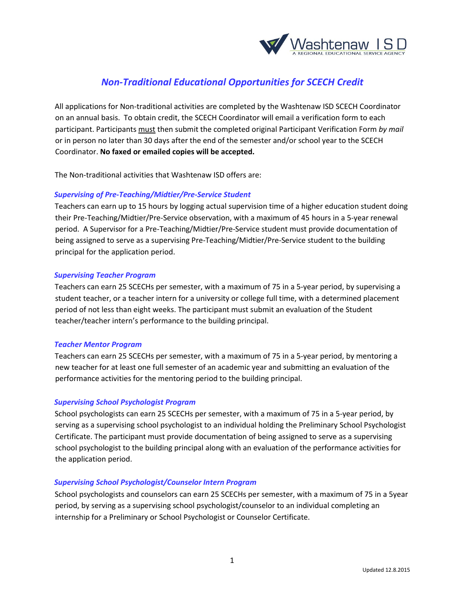

# *Non-Traditional Educational Opportunities for SCECH Credit*

All applications for Non-traditional activities are completed by the Washtenaw ISD SCECH Coordinator on an annual basis. To obtain credit, the SCECH Coordinator will email a verification form to each participant. Participants must then submit the completed original Participant Verification Form *by mail* or in person no later than 30 days after the end of the semester and/or school year to the SCECH Coordinator. **No faxed or emailed copies will be accepted.**

The Non-traditional activities that Washtenaw ISD offers are:

### *Supervising of Pre‐Teaching/Midtier/Pre‐Service Student*

Teachers can earn up to 15 hours by logging actual supervision time of a higher education student doing their Pre‐Teaching/Midtier/Pre‐Service observation, with a maximum of 45 hours in a 5‐year renewal period. A Supervisor for a Pre‐Teaching/Midtier/Pre‐Service student must provide documentation of being assigned to serve as a supervising Pre‐Teaching/Midtier/Pre‐Service student to the building principal for the application period.

#### *Supervising Teacher Program*

Teachers can earn 25 SCECHs per semester, with a maximum of 75 in a 5‐year period, by supervising a student teacher, or a teacher intern for a university or college full time, with a determined placement period of not less than eight weeks. The participant must submit an evaluation of the Student teacher/teacher intern's performance to the building principal.

#### *Teacher Mentor Program*

Teachers can earn 25 SCECHs per semester, with a maximum of 75 in a 5‐year period, by mentoring a new teacher for at least one full semester of an academic year and submitting an evaluation of the performance activities for the mentoring period to the building principal.

## *Supervising School Psychologist Program*

School psychologists can earn 25 SCECHs per semester, with a maximum of 75 in a 5‐year period, by serving as a supervising school psychologist to an individual holding the Preliminary School Psychologist Certificate. The participant must provide documentation of being assigned to serve as a supervising school psychologist to the building principal along with an evaluation of the performance activities for the application period.

#### *Supervising School Psychologist/Counselor Intern Program*

School psychologists and counselors can earn 25 SCECHs per semester, with a maximum of 75 in a 5year period, by serving as a supervising school psychologist/counselor to an individual completing an internship for a Preliminary or School Psychologist or Counselor Certificate.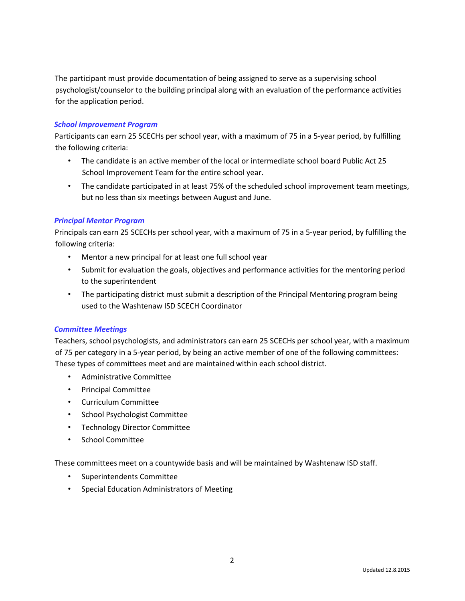The participant must provide documentation of being assigned to serve as a supervising school psychologist/counselor to the building principal along with an evaluation of the performance activities for the application period.

## *School Improvement Program*

Participants can earn 25 SCECHs per school year, with a maximum of 75 in a 5‐year period, by fulfilling the following criteria:

- The candidate is an active member of the local or intermediate school board Public Act 25 School Improvement Team for the entire school year.
- The candidate participated in at least 75% of the scheduled school improvement team meetings, but no less than six meetings between August and June.

# *Principal Mentor Program*

Principals can earn 25 SCECHs per school year, with a maximum of 75 in a 5‐year period, by fulfilling the following criteria:

- Mentor a new principal for at least one full school year
- Submit for evaluation the goals, objectives and performance activities for the mentoring period to the superintendent
- The participating district must submit a description of the Principal Mentoring program being used to the Washtenaw ISD SCECH Coordinator

## *Committee Meetings*

Teachers, school psychologists, and administrators can earn 25 SCECHs per school year, with a maximum of 75 per category in a 5‐year period, by being an active member of one of the following committees: These types of committees meet and are maintained within each school district.

- Administrative Committee
- Principal Committee
- Curriculum Committee
- School Psychologist Committee
- Technology Director Committee
- School Committee

These committees meet on a countywide basis and will be maintained by Washtenaw ISD staff.

- Superintendents Committee
- Special Education Administrators of Meeting